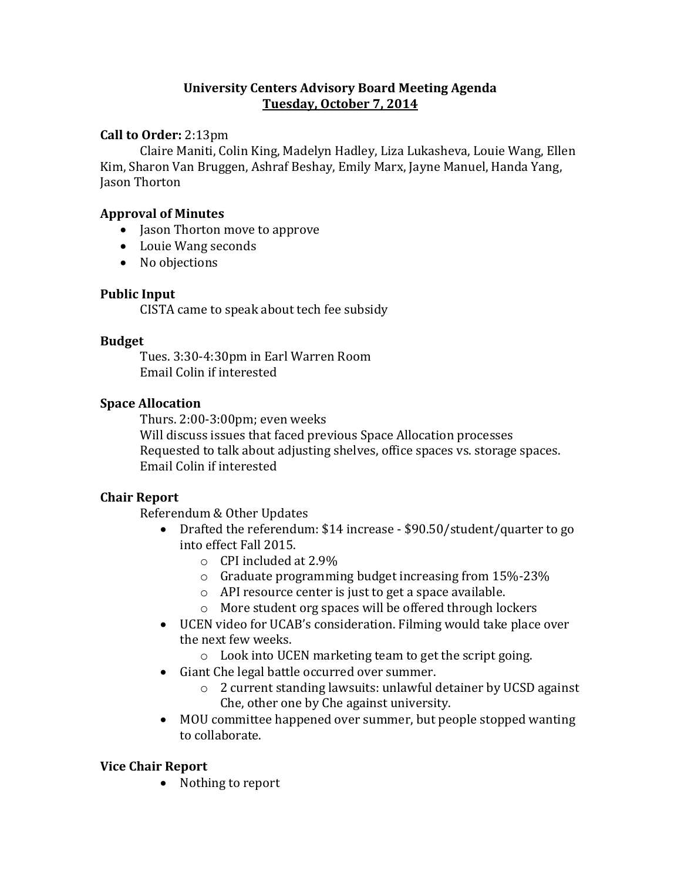## **University Centers Advisory Board Meeting Agenda Tuesday, October 7, 2014**

## **Call to Order:** 2:13pm

Claire Maniti, Colin King, Madelyn Hadley, Liza Lukasheva, Louie Wang, Ellen Kim, Sharon Van Bruggen, Ashraf Beshay, Emily Marx, Jayne Manuel, Handa Yang, Jason Thorton

## **Approval of Minutes**

- Jason Thorton move to approve
- Louie Wang seconds
- No objections

## **Public Input**

CISTA came to speak about tech fee subsidy

#### **Budget**

Tues. 3:30-4:30pm in Earl Warren Room Email Colin if interested

## **Space Allocation**

Thurs. 2:00-3:00pm; even weeks Will discuss issues that faced previous Space Allocation processes Requested to talk about adjusting shelves, office spaces vs. storage spaces. Email Colin if interested

#### **Chair Report**

Referendum & Other Updates

- Drafted the referendum: \$14 increase \$90.50/student/quarter to go into effect Fall 2015.
	- o CPI included at 2.9%
	- o Graduate programming budget increasing from 15%-23%
	- o API resource center is just to get a space available.
	- o More student org spaces will be offered through lockers
- UCEN video for UCAB's consideration. Filming would take place over the next few weeks.
	- o Look into UCEN marketing team to get the script going.
- Giant Che legal battle occurred over summer.
	- o 2 current standing lawsuits: unlawful detainer by UCSD against Che, other one by Che against university.
- MOU committee happened over summer, but people stopped wanting to collaborate.

## **Vice Chair Report**

• Nothing to report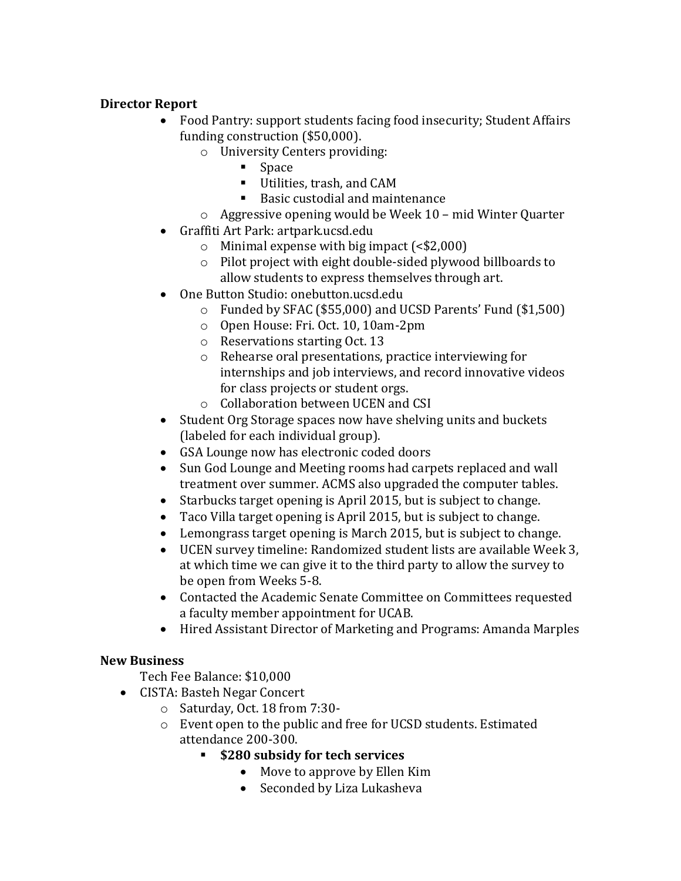## **Director Report**

- Food Pantry: support students facing food insecurity; Student Affairs funding construction (\$50,000).
	- o University Centers providing:
		- **Space**
		- Utilities, trash, and CAM
		- Basic custodial and maintenance
	- o Aggressive opening would be Week 10 mid Winter Quarter
- Graffiti Art Park: artpark.ucsd.edu
	- $\circ$  Minimal expense with big impact (<\$2,000)
	- o Pilot project with eight double-sided plywood billboards to allow students to express themselves through art.
- One Button Studio: onebutton.ucsd.edu
	- o Funded by SFAC (\$55,000) and UCSD Parents' Fund (\$1,500)
	- o Open House: Fri. Oct. 10, 10am-2pm
	- o Reservations starting Oct. 13
	- o Rehearse oral presentations, practice interviewing for internships and job interviews, and record innovative videos for class projects or student orgs.
	- o Collaboration between UCEN and CSI
- Student Org Storage spaces now have shelving units and buckets (labeled for each individual group).
- GSA Lounge now has electronic coded doors
- Sun God Lounge and Meeting rooms had carpets replaced and wall treatment over summer. ACMS also upgraded the computer tables.
- Starbucks target opening is April 2015, but is subject to change.
- Taco Villa target opening is April 2015, but is subject to change.
- Lemongrass target opening is March 2015, but is subject to change.
- UCEN survey timeline: Randomized student lists are available Week 3, at which time we can give it to the third party to allow the survey to be open from Weeks 5-8.
- Contacted the Academic Senate Committee on Committees requested a faculty member appointment for UCAB.
- Hired Assistant Director of Marketing and Programs: Amanda Marples

# **New Business**

- Tech Fee Balance: \$10,000
- CISTA: Basteh Negar Concert
	- o Saturday, Oct. 18 from 7:30-
	- o Event open to the public and free for UCSD students. Estimated attendance 200-300.
		- **\$280 subsidy for tech services**
			- Move to approve by Ellen Kim
			- Seconded by Liza Lukasheva